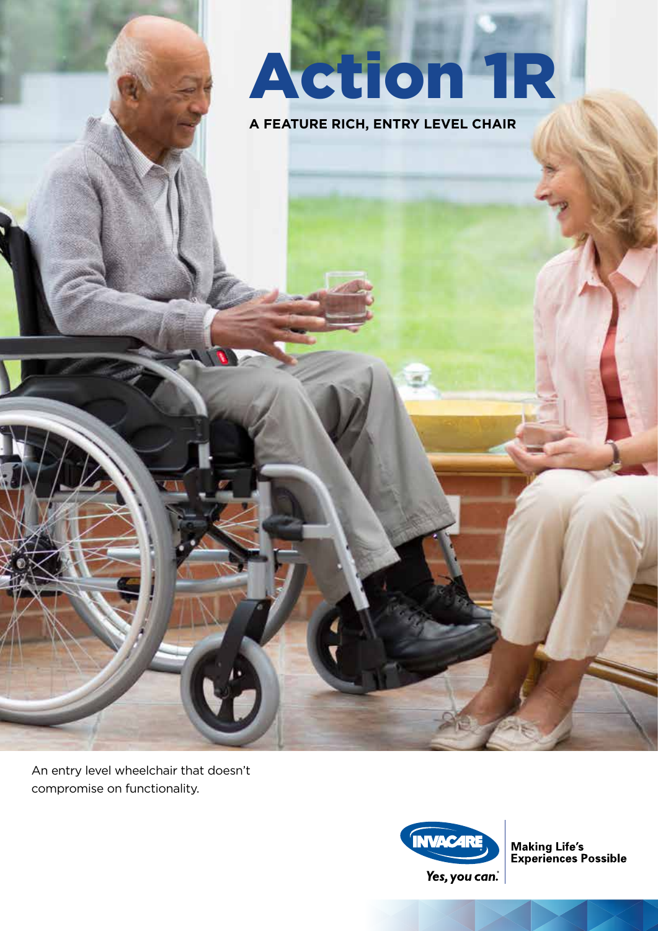# Action 1R

**A FEATURE RICH, ENTRY LEVEL CHAIR**

An entry level wheelchair that doesn't compromise on functionality.



**Making Life's<br>Experiences Possible**